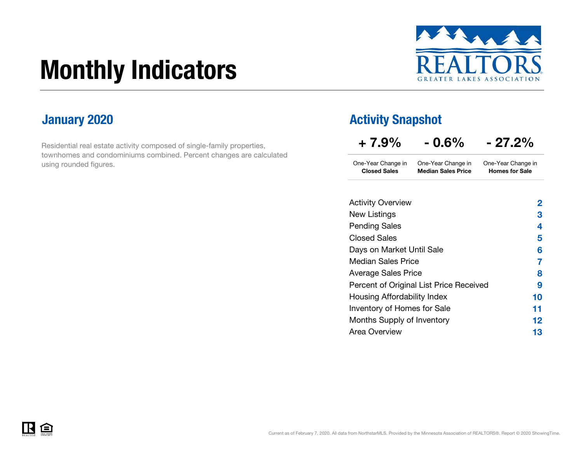# Monthly Indicators



Residential real estate activity composed of single-family properties, townhomes and condominiums combined. Percent changes are calculated using rounded figures.

### **January 2020 Activity Snapshot Activity Snapshot**

| $+7.9\%$                                                    | $-0.6\%$                                        | $-27.2%$                                    |  |  |  |
|-------------------------------------------------------------|-------------------------------------------------|---------------------------------------------|--|--|--|
| One-Year Change in<br><b>Closed Sales</b>                   | One-Year Change in<br><b>Median Sales Price</b> | One-Year Change in<br><b>Homes for Sale</b> |  |  |  |
| $\lambda$ at $\lambda$ . The contract of a set of $\lambda$ |                                                 |                                             |  |  |  |

| <b>Activity Overview</b>                | $\overline{2}$ |
|-----------------------------------------|----------------|
| New Listings                            | 3              |
| <b>Pending Sales</b>                    | 4              |
| <b>Closed Sales</b>                     | 5              |
| Days on Market Until Sale               | 6              |
| <b>Median Sales Price</b>               | 7              |
| <b>Average Sales Price</b>              | 8              |
| Percent of Original List Price Received | 9              |
| Housing Affordability Index             | 10             |
| Inventory of Homes for Sale             | 11             |
| Months Supply of Inventory              | 12             |
| Area Overview                           | 13             |
|                                         |                |

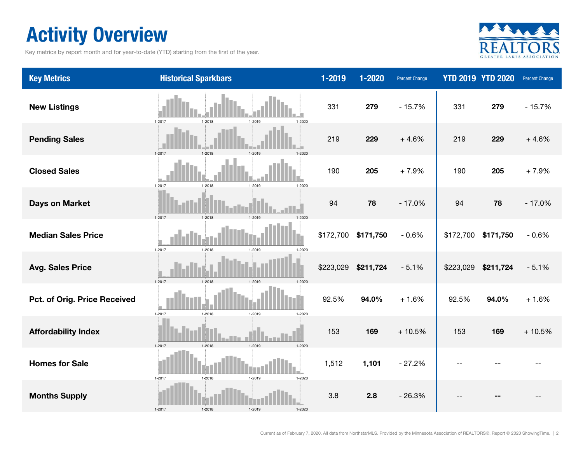### Activity Overview

Key metrics by report month and for year-to-date (YTD) starting from the first of the year.



| <b>Key Metrics</b>           | <b>Historical Sparkbars</b>                      | 1-2019    | 1-2020    | <b>Percent Change</b> |           | <b>YTD 2019 YTD 2020</b> | Percent Change |
|------------------------------|--------------------------------------------------|-----------|-----------|-----------------------|-----------|--------------------------|----------------|
| <b>New Listings</b>          | 1-2017<br>$1 - 2020$<br>1-2018<br>1-2019         | 331       | 279       | $-15.7%$              | 331       | 279                      | $-15.7%$       |
| <b>Pending Sales</b>         | 1-2017<br>1-2018<br>1-2019<br>1-2020             | 219       | 229       | $+4.6%$               | 219       | 229                      | $+4.6%$        |
| <b>Closed Sales</b>          | 1-2017<br>1-2018<br>1-2019<br>1-2020             | 190       | 205       | $+7.9%$               | 190       | 205                      | $+7.9%$        |
| <b>Days on Market</b>        | 1-2017<br>$1 - 2018$<br>1.2019                   | 94        | 78        | $-17.0%$              | 94        | 78                       | $-17.0%$       |
| <b>Median Sales Price</b>    | $1 - 2017$<br>$1 - 2018$<br>1-2019<br>1-2020     | \$172,700 | \$171,750 | $-0.6%$               | \$172,700 | \$171,750                | $-0.6%$        |
| <b>Avg. Sales Price</b>      | $1 - 2017$<br>$1 - 2018$<br>1-2019<br>$1 - 2020$ | \$223,029 | \$211,724 | $-5.1%$               | \$223,029 | \$211,724                | $-5.1%$        |
| Pct. of Orig. Price Received | $1 - 2017$<br>$1 - 2018$<br>1-2019<br>1-2020     | 92.5%     | 94.0%     | $+1.6%$               | 92.5%     | 94.0%                    | $+1.6%$        |
| <b>Affordability Index</b>   | $1 - 2018$<br>$1 - 2017$<br>1-2019<br>$1 - 2020$ | 153       | 169       | $+10.5%$              | 153       | 169                      | $+10.5%$       |
| <b>Homes for Sale</b>        | $1 - 2017$<br>$1 - 2018$<br>1-2019<br>$1 - 2020$ | 1,512     | 1,101     | $-27.2%$              |           |                          |                |
| <b>Months Supply</b>         | $1 - 2017$<br>$1 - 2018$<br>1-2019<br>1-2020     | 3.8       | 2.8       | $-26.3%$              |           |                          |                |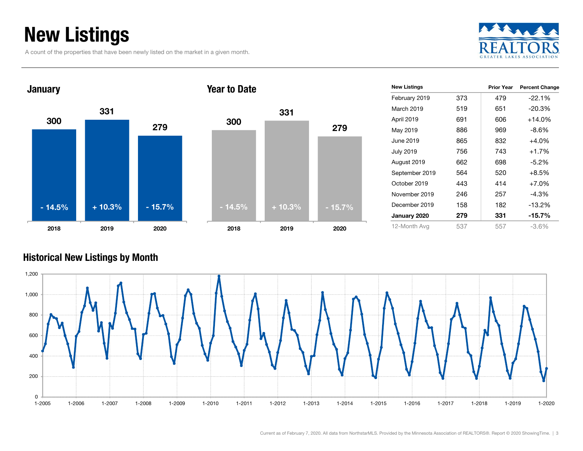### New Listings

A count of the properties that have been newly listed on the market in a given month.







| <b>New Listings</b> |     | <b>Prior Year</b> | <b>Percent Change</b> |
|---------------------|-----|-------------------|-----------------------|
| February 2019       | 373 | 479               | $-22.1%$              |
| March 2019          | 519 | 651               | $-20.3%$              |
| April 2019          | 691 | 606               | $+14.0%$              |
| May 2019            | 886 | 969               | $-8.6%$               |
| June 2019           | 865 | 832               | $+4.0%$               |
| <b>July 2019</b>    | 756 | 743               | $+1.7%$               |
| August 2019         | 662 | 698               | $-5.2\%$              |
| September 2019      | 564 | 520               | $+8.5%$               |
| October 2019        | 443 | 414               | $+7.0%$               |
| November 2019       | 246 | 257               | $-4.3%$               |
| December 2019       | 158 | 182               | $-13.2%$              |
| January 2020        | 279 | 331               | -15.7%                |
| 12-Month Avg        | 537 | 557               | -3.6%                 |

#### Historical New Listings by Month

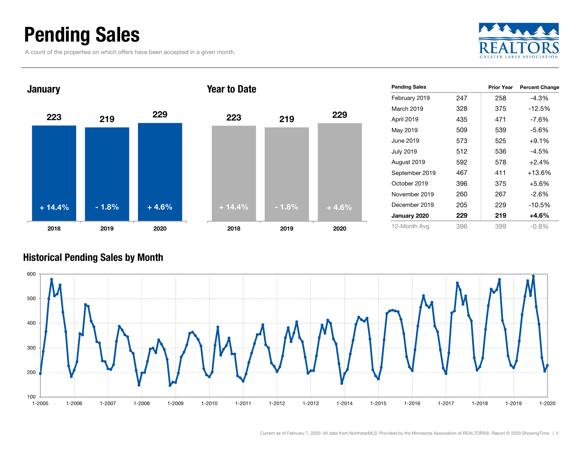### Pending Sales

A count of the properties on which offers have been accepted in a given month.





#### Historical Pending Sales by Month

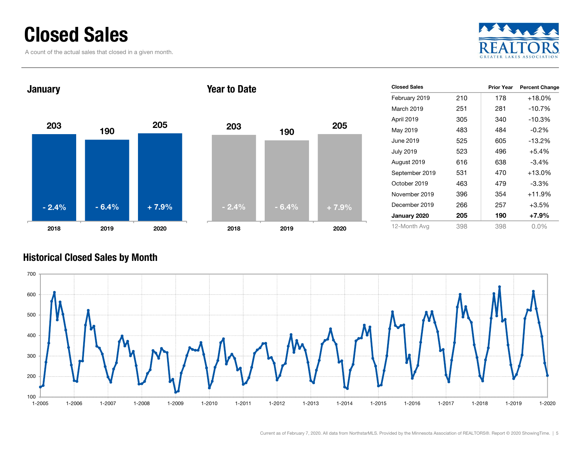### Closed Sales

A count of the actual sales that closed in a given month.





| <b>Closed Sales</b> |     | <b>Prior Year</b> | <b>Percent Change</b> |
|---------------------|-----|-------------------|-----------------------|
| February 2019       | 210 | 178               | $+18.0%$              |
| March 2019          | 251 | 281               | $-10.7%$              |
| April 2019          | 305 | 340               | $-10.3%$              |
| May 2019            | 483 | 484               | $-0.2%$               |
| June 2019           | 525 | 605               | $-13.2%$              |
| <b>July 2019</b>    | 523 | 496               | $+5.4%$               |
| August 2019         | 616 | 638               | $-3.4\%$              |
| September 2019      | 531 | 470               | $+13.0%$              |
| October 2019        | 463 | 479               | $-3.3%$               |
| November 2019       | 396 | 354               | $+11.9%$              |
| December 2019       | 266 | 257               | $+3.5%$               |
| January 2020        | 205 | 190               | +7.9%                 |
| 12-Month Avg        | 398 | 398               | $0.0\%$               |

#### Historical Closed Sales by Month

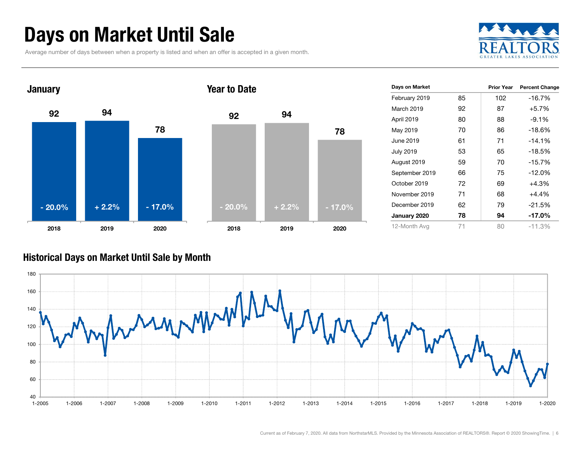### Days on Market Until Sale

Average number of days between when a property is listed and when an offer is accepted in a given month.





| Days on Market   |    | <b>Prior Year</b> | <b>Percent Change</b> |
|------------------|----|-------------------|-----------------------|
| February 2019    | 85 | 102               | $-16.7%$              |
| March 2019       | 92 | 87                | $+5.7%$               |
| April 2019       | 80 | 88                | $-9.1%$               |
| May 2019         | 70 | 86                | $-18.6%$              |
| June 2019        | 61 | 71                | $-14.1%$              |
| <b>July 2019</b> | 53 | 65                | -18.5%                |
| August 2019      | 59 | 70                | $-15.7%$              |
| September 2019   | 66 | 75                | -12.0%                |
| October 2019     | 72 | 69                | $+4.3%$               |
| November 2019    | 71 | 68                | $+4.4%$               |
| December 2019    | 62 | 79                | -21.5%                |
| January 2020     | 78 | 94                | $-17.0%$              |
| 12-Month Avg     | 71 | 80                | $-11.3%$              |

#### Historical Days on Market Until Sale by Month

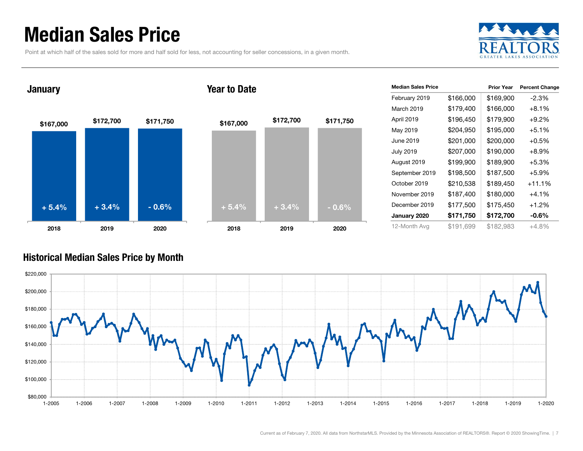### Median Sales Price

Point at which half of the sales sold for more and half sold for less, not accounting for seller concessions, in a given month.





| <b>Median Sales Price</b> |           | <b>Prior Year</b> | <b>Percent Change</b> |
|---------------------------|-----------|-------------------|-----------------------|
| February 2019             | \$166,000 | \$169,900         | $-2.3%$               |
| March 2019                | \$179,400 | \$166,000         | $+8.1\%$              |
| April 2019                | \$196,450 | \$179,900         | $+9.2%$               |
| May 2019                  | \$204,950 | \$195,000         | $+5.1%$               |
| June 2019                 | \$201,000 | \$200,000         | $+0.5%$               |
| July 2019                 | \$207,000 | \$190,000         | $+8.9\%$              |
| August 2019               | \$199,900 | \$189,900         | $+5.3%$               |
| September 2019            | \$198,500 | \$187,500         | $+5.9%$               |
| October 2019              | \$210,538 | \$189,450         | $+11.1%$              |
| November 2019             | \$187,400 | \$180,000         | $+4.1\%$              |
| December 2019             | \$177,500 | \$175,450         | $+1.2%$               |
| January 2020              | \$171,750 | \$172,700         | $-0.6\%$              |
| 12-Month Avg              | \$191.699 | \$182,983         | $+4.8%$               |

#### Historical Median Sales Price by Month

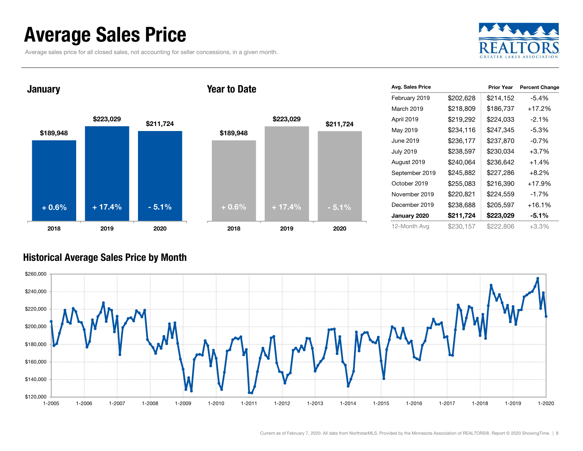### Average Sales Price

Average sales price for all closed sales, not accounting for seller concessions, in a given month.



January





| Avg. Sales Price |           | <b>Prior Year</b> | <b>Percent Change</b> |
|------------------|-----------|-------------------|-----------------------|
| February 2019    | \$202,628 | \$214,152         | $-5.4%$               |
| March 2019       | \$218,809 | \$186,737         | $+17.2%$              |
| April 2019       | \$219,292 | \$224,033         | $-2.1%$               |
| May 2019         | \$234,116 | \$247,345         | $-5.3%$               |
| June 2019        | \$236,177 | \$237,870         | $-0.7%$               |
| <b>July 2019</b> | \$238,597 | \$230,034         | $+3.7%$               |
| August 2019      | \$240,064 | \$236,642         | $+1.4%$               |
| September 2019   | \$245,882 | \$227,286         | $+8.2%$               |
| October 2019     | \$255,083 | \$216,390         | $+17.9%$              |
| November 2019    | \$220,821 | \$224,559         | $-1.7%$               |
| December 2019    | \$238,688 | \$205,597         | $+16.1%$              |
| January 2020     | \$211,724 | \$223,029         | $-5.1%$               |
| 12-Month Avg     | \$230,157 | \$222,806         | $+3.3%$               |

#### Historical Average Sales Price by Month

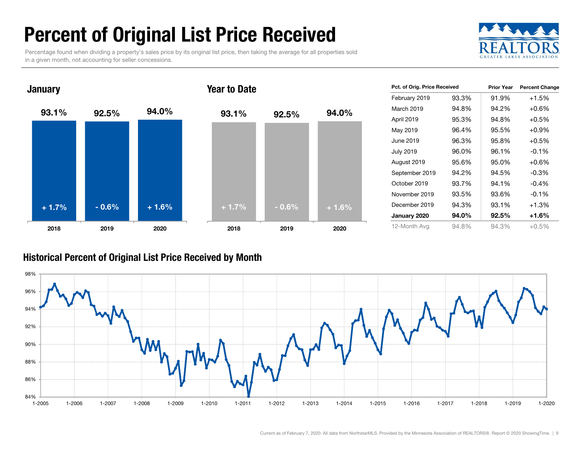### Percent of Original List Price Received

Percentage found when dividing a property's sales price by its original list price, then taking the average for all properties sold in a given month, not accounting for seller concessions.





| Pct. of Orig. Price Received |       | <b>Prior Year</b> | <b>Percent Change</b> |
|------------------------------|-------|-------------------|-----------------------|
| February 2019                | 93.3% | 91.9%             | $+1.5%$               |
| March 2019                   | 94.8% | 94.2%             | $+0.6\%$              |
| April 2019                   | 95.3% | 94.8%             | $+0.5%$               |
| May 2019                     | 96.4% | 95.5%             | $+0.9%$               |
| June 2019                    | 96.3% | 95.8%             | $+0.5%$               |
| <b>July 2019</b>             | 96.0% | 96.1%             | $-0.1\%$              |
| August 2019                  | 95.6% | 95.0%             | $+0.6%$               |
| September 2019               | 94.2% | 94.5%             | $-0.3%$               |
| October 2019                 | 93.7% | 94.1%             | -0.4%                 |
| November 2019                | 93.5% | 93.6%             | $-0.1\%$              |
| December 2019                | 94.3% | 93.1%             | $+1.3%$               |
| January 2020                 | 94.0% | 92.5%             | +1.6%                 |
| 12-Month Avg                 | 94.8% | 94.3%             | $+0.5\%$              |

#### Historical Percent of Original List Price Received by Month

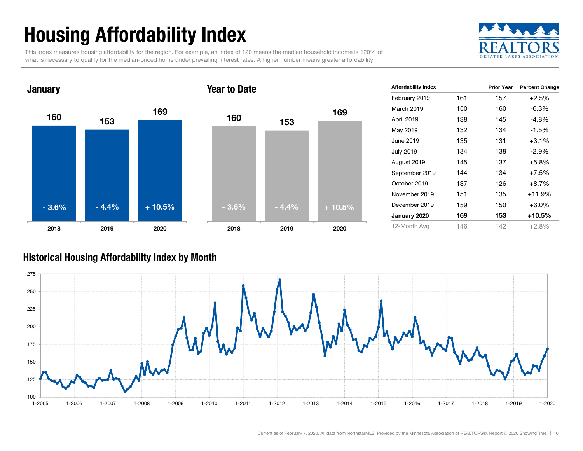## Housing Affordability Index

This index measures housing affordability for the region. For example, an index of 120 means the median household income is 120% of what is necessary to qualify for the median-priced home under prevailing interest rates. A higher number means greater affordability.





| <b>Affordability Index</b> |     | <b>Prior Year</b> | <b>Percent Change</b> |
|----------------------------|-----|-------------------|-----------------------|
| February 2019              | 161 | 157               | $+2.5%$               |
| March 2019                 | 150 | 160               | $-6.3%$               |
| April 2019                 | 138 | 145               | $-4.8\%$              |
| May 2019                   | 132 | 134               | $-1.5%$               |
| June 2019                  | 135 | 131               | $+3.1%$               |
| <b>July 2019</b>           | 134 | 138               | $-2.9\%$              |
| August 2019                | 145 | 137               | +5.8%                 |
| September 2019             | 144 | 134               | $+7.5%$               |
| October 2019               | 137 | 126               | $+8.7%$               |
| November 2019              | 151 | 135               | $+11.9%$              |
| December 2019              | 159 | 150               | $+6.0\%$              |
| January 2020               | 169 | 153               | +10.5%                |
| 12-Month Avg               | 146 | 142               | $+2.8%$               |

#### Historical Housing Affordability Index by Mont h

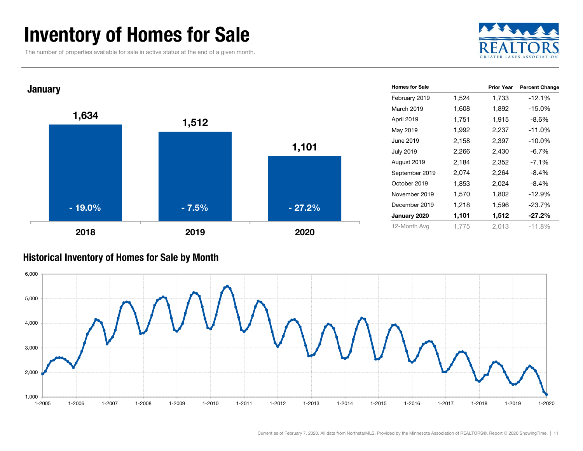### Inventory of Homes for Sale

The number of properties available for sale in active status at the end of a given month.





#### Historical Inventory of Homes for Sale by Month

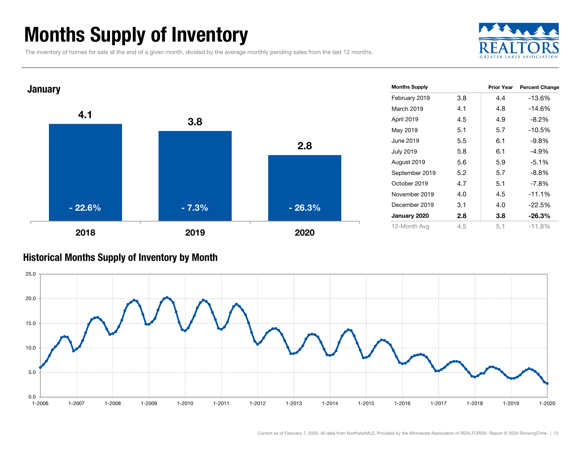### Months Supply of Inventory

The inventory of homes for sale at the end of a given month, divided by the average monthly pending sales from the last 12 months.





#### Historical Months Supply of Inventory by Month